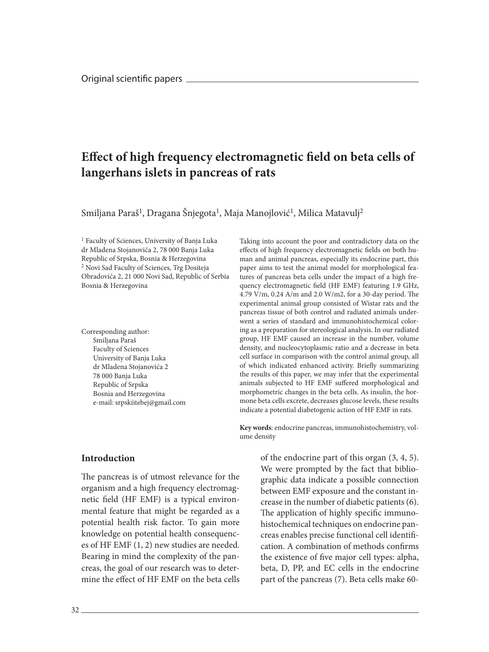# **Effect of high frequency electromagnetic field on beta cells of langerhans islets in pancreas of rats**

Smiljana Paraš<sup>1</sup>, Dragana Šnjegota<sup>1</sup>, Maja Manojlović<sup>1</sup>, Milica Matavulj<sup>2</sup>

<sup>1</sup> Faculty of Sciences, University of Banja Luka dr Mladena Stojanovića 2, 78 000 Banja Luka Republic of Srpska, Bosnia & Herzegovina 2 Novi Sad Faculty of Sciences, Trg Dositeja Obradovića 2, 21 000 Novi Sad, Republic of Serbia Bosnia & Herzegovina

Corresponding author: Smiljana Paraš Faculty of Sciences University of Banja Luka dr Mladena Stojanovića 2 78 000 Banja Luka Republic of Srpska Bosnia and Herzegovina e-mail: srpskiitebej@gmail.com

### **Introduction**

The pancreas is of utmost relevance for the organism and a high frequency electromagnetic field (HF EMF) is a typical environmental feature that might be regarded as a potential health risk factor. To gain more knowledge on potential health consequences of HF EMF (1, 2) new studies are needed. Bearing in mind the complexity of the pancreas, the goal of our research was to determine the effect of HF EMF on the beta cells

Taking into account the poor and contradictory data on the effects of high frequency electromagnetic fields on both human and animal pancreas, especially its endocrine part, this paper aims to test the animal model for morphological features of pancreas beta cells under the impact of a high frequency electromagnetic field (HF EMF) featuring 1.9 GHz, 4.79 V/m, 0.24 A/m and 2.0 W/m2, for a 30-day period. The experimental animal group consisted of Wistar rats and the pancreas tissue of both control and radiated animals underwent a series of standard and immunohistochemical coloring as a preparation for stereological analysis. In our radiated group, HF EMF caused an increase in the number, volume density, and nucleocytoplasmic ratio and a decrease in beta cell surface in comparison with the control animal group, all of which indicated enhanced activity. Briefly summarizing the results of this paper, we may infer that the experimental animals subjected to HF EMF suffered morphological and morphometric changes in the beta cells. As insulin, the hormone beta cells excrete, decreases glucose levels, these results indicate a potential diabetogenic action of HF EMF in rats.

**Key words**: endocrine pancreas, immunohistochemistry, volume density

> of the endocrine part of this organ (3, 4, 5). We were prompted by the fact that bibliographic data indicate a possible connection between EMF exposure and the constant increase in the number of diabetic patients (6). The application of highly specific immunohistochemical techniques on endocrine pancreas enables precise functional cell identification. A combination of methods confirms the existence of five major cell types: alpha, beta, D, PP, and EC cells in the endocrine part of the pancreas (7). Beta cells make 60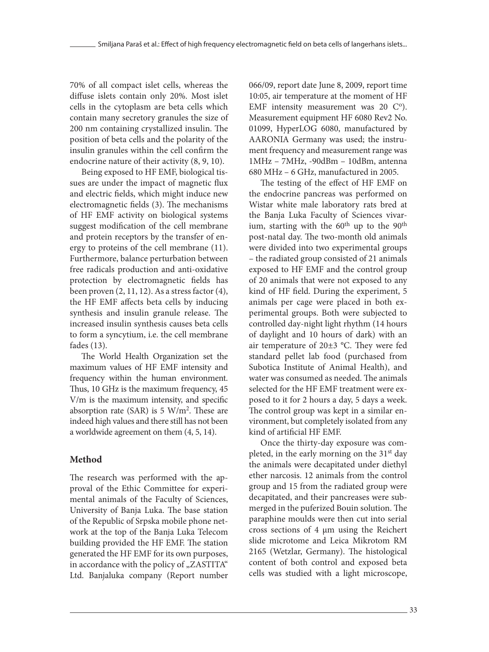70% of all compact islet cells, whereas the diffuse islets contain only 20%. Most islet cells in the cytoplasm are beta cells which contain many secretory granules the size of 200 nm containing crystallized insulin. The position of beta cells and the polarity of the insulin granules within the cell confirm the endocrine nature of their activity (8, 9, 10).

Being exposed to HF EMF, biological tissues are under the impact of magnetic flux and electric fields, which might induce new electromagnetic fields (3). The mechanisms of HF EMF activity on biological systems suggest modification of the cell membrane and protein receptors by the transfer of energy to proteins of the cell membrane (11). Furthermore, balance perturbation between free radicals production and anti-oxidative protection by electromagnetic fields has been proven (2, 11, 12). As a stress factor (4), the HF EMF affects beta cells by inducing synthesis and insulin granule release. The increased insulin synthesis causes beta cells to form a syncytium, i.e. the cell membrane fades (13).

The World Health Organization set the maximum values of HF EMF intensity and frequency within the human environment. Thus, 10 GHz is the maximum frequency, 45 V/m is the maximum intensity, and specific absorption rate (SAR) is  $5 \text{ W/m}^2$ . These are indeed high values and there still has not been a worldwide agreement on them (4, 5, 14).

## **Method**

The research was performed with the approval of the Ethic Committee for experimental animals of the Faculty of Sciences, University of Banja Luka. The base station of the Republic of Srpska mobile phone network at the top of the Banja Luka Telecom building provided the HF EMF. The station generated the HF EMF for its own purposes, in accordance with the policy of "ZASTITA" Ltd. Banjaluka company (Report number

066/09, report date June 8, 2009, report time 10:05, air temperature at the moment of HF EMF intensity measurement was  $20 \, \mathrm{C}^{\circ}$ ). Measurement equipment HF 6080 Rev2 No. 01099, HyperLOG 6080, manufactured by AARONIA Germany was used; the instrument frequency and measurement range was 1MHz – 7MHz, -90dBm – 10dBm, antenna 680 MHz – 6 GHz, manufactured in 2005.

The testing of the effect of HF EMF on the endocrine pancreas was performed on Wistar white male laboratory rats bred at the Banja Luka Faculty of Sciences vivarium, starting with the  $60<sup>th</sup>$  up to the  $90<sup>th</sup>$ post-natal day. The two-month old animals were divided into two experimental groups – the radiated group consisted of 21 animals exposed to HF EMF and the control group of 20 animals that were not exposed to any kind of HF field. During the experiment, 5 animals per cage were placed in both experimental groups. Both were subjected to controlled day-night light rhythm (14 hours of daylight and 10 hours of dark) with an air temperature of 20±3 °C. They were fed standard pellet lab food (purchased from Subotica Institute of Animal Health), and water was consumed as needed. The animals selected for the HF EMF treatment were exposed to it for 2 hours a day, 5 days a week. The control group was kept in a similar environment, but completely isolated from any kind of artificial HF EMF.

Once the thirty-day exposure was completed, in the early morning on the 31<sup>st</sup> day the animals were decapitated under diethyl ether narcosis. 12 animals from the control group and 15 from the radiated group were decapitated, and their pancreases were submerged in the puferized Воuin solution. The paraphine moulds were then cut into serial cross sections of 4 μm using the Reichert slide microtome and Leica Mikrotom RM 2165 (Wetzlar, Germany). The histological content of both control and exposed beta cells was studied with a light microscope,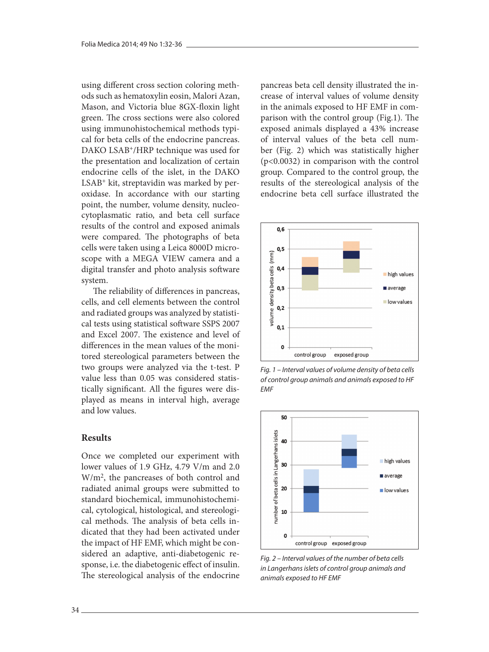using different cross section coloring methods such as hematoxylin eosin, Malori Azan, Mason, and Victoria blue 8GX-floxin light green. The cross sections were also colored using immunohistochemical methods typical for beta cells of the endocrine pancreas. DAKO LSAB+/HRP technique was used for the presentation and localization of certain endocrine cells of the islet, in the DAKO LSAB+ kit, streptavidin was marked by peroxidase. In accordance with our starting point, the number, volume density, nucleocytoplasmatic ratio, and beta cell surface results of the control and exposed animals were compared. The photographs of beta cells were taken using a Leica 8000D microscope with a MEGA VIEW camera and a digital transfer and photo analysis software system.

The reliability of differences in pancreas, cells, and cell elements between the control and radiated groups was analyzed by statistical tests using statistical software SSPS 2007 and Excel 2007. The existence and level of differences in the mean values of the monitored stereological parameters between the two groups were analyzed via the t-test. P value less than 0.05 was considered statistically significant. All the figures were displayed as means in interval high, average and low values.

### **Results**

Once we completed our experiment with lower values of 1.9 GHz, 4.79 V/m and 2.0 W/m2, the pancreases of both control and radiated animal groups were submitted to standard biochemical, immunohistochemical, cytological, histological, and stereological methods. The analysis of beta cells indicated that they had been activated under the impact of HF EMF, which might be considered an adaptive, anti-diabetogenic response, i.e. the diabetogenic effect of insulin. The stereological analysis of the endocrine pancreas beta cell density illustrated the increase of interval values of volume density in the animals exposed to HF EMF in comparison with the control group (Fig.1). The exposed animals displayed a 43% increase of interval values of the beta cell number (Fig. 2) which was statistically higher (p<0.0032) in comparison with the control group. Compared to the control group, the results of the stereological analysis of the endocrine beta cell surface illustrated the



*Fig. 1 – Interval values of volume density of beta cells of control group animals and animals exposed to HF EMF*



*Fig. 2 – Interval values of the number of beta cells in Langerhans islets of control group animals and animals exposed to HF EMF*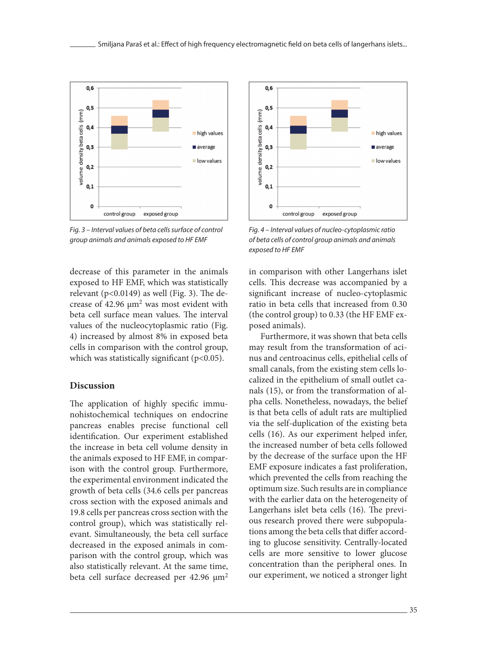

*Fig. 3 – Interval values of beta cells surface of control group animals and animals exposed to HF EMF*

decrease of this parameter in the animals exposed to HF EMF, which was statistically relevant ( $p<0.0149$ ) as well (Fig. 3). The decrease of 42.96 μm2 was most evident with beta cell surface mean values. The interval values of the nucleocytoplasmic ratio (Fig. 4) increased by almost 8% in exposed beta cells in comparison with the control group, which was statistically significant (p<0.05).

#### **Discussion**

The application of highly specific immunohistochemical techniques on endocrine pancreas enables precise functional cell identification. Our experiment established the increase in beta cell volume density in the animals exposed to HF EMF, in comparison with the control group. Furthermore, the experimental environment indicated the growth of beta cells (34.6 cells per pancreas cross section with the exposed animals and 19.8 cells per pancreas cross section with the control group), which was statistically relevant. Simultaneously, the beta cell surface decreased in the exposed animals in comparison with the control group, which was also statistically relevant. At the same time, beta cell surface decreased per 42.96  $\mu$ m<sup>2</sup>



*Fig. 4 – Interval values of nucleo-cytoplasmic ratio of beta cells of control group animals and animals exposed to HF EMF*

in comparison with other Langerhans islet cells. This decrease was accompanied by a significant increase of nucleo-cytoplasmic ratio in beta cells that increased from 0.30 (the control group) to 0.33 (the HF EMF exposed animals).

Furthermore, it was shown that beta cells may result from the transformation of acinus and centroacinus cells, epithelial cells of small canals, from the existing stem cells localized in the epithelium of small outlet canals (15), or from the transformation of alpha cells. Nonetheless, nowadays, the belief is that beta cells of adult rats are multiplied via the self-duplication of the existing beta cells (16). As our experiment helped infer, the increased number of beta cells followed by the decrease of the surface upon the HF EMF exposure indicates a fast proliferation, which prevented the cells from reaching the optimum size. Such results are in compliance with the earlier data on the heterogeneity of Langerhans islet beta cells (16). The previous research proved there were subpopulations among the beta cells that differ according to glucose sensitivity. Centrally-located cells are more sensitive to lower glucose concentration than the peripheral ones. In our experiment, we noticed a stronger light